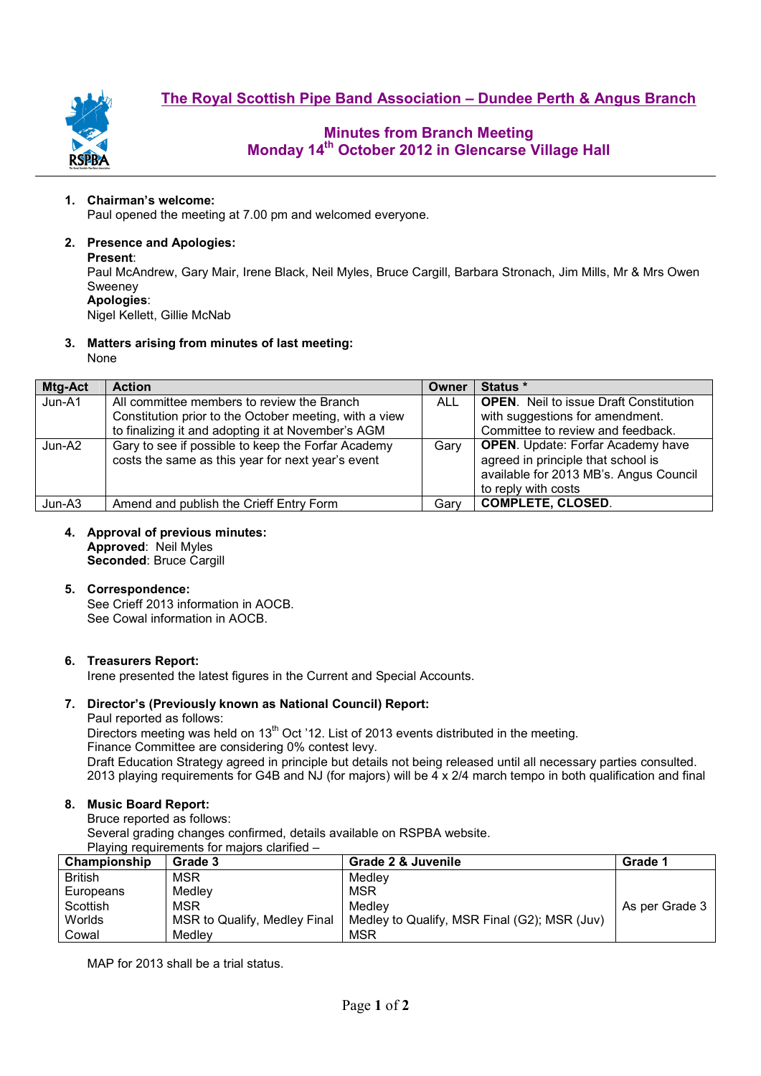

# **Minutes from Branch Meeting Monday 14th October 2012 in Glencarse Village Hall**

#### **1. Chairman's welcome:**

Paul opened the meeting at 7.00 pm and welcomed everyone.

#### **2. Presence and Apologies:**

#### **Present**:

Paul McAndrew, Gary Mair, Irene Black, Neil Myles, Bruce Cargill, Barbara Stronach, Jim Mills, Mr & Mrs Owen Sweeney **Apologies**:

Nigel Kellett, Gillie McNab

#### **3. Matters arising from minutes of last meeting:**

None

| Mtg-Act | <b>Action</b>                                                                                                                                              | Owner      | Status *                                                                                                                                        |
|---------|------------------------------------------------------------------------------------------------------------------------------------------------------------|------------|-------------------------------------------------------------------------------------------------------------------------------------------------|
| Jun-A1  | All committee members to review the Branch<br>Constitution prior to the October meeting, with a view<br>to finalizing it and adopting it at November's AGM | <b>ALL</b> | <b>OPEN.</b> Neil to issue Draft Constitution<br>with suggestions for amendment.<br>Committee to review and feedback.                           |
| Jun-A2  | Gary to see if possible to keep the Forfar Academy<br>costs the same as this year for next year's event                                                    | Gary       | <b>OPEN.</b> Update: Forfar Academy have<br>agreed in principle that school is<br>available for 2013 MB's. Angus Council<br>to reply with costs |
| Jun-A3  | Amend and publish the Crieff Entry Form                                                                                                                    | Garv       | <b>COMPLETE, CLOSED.</b>                                                                                                                        |

## **4. Approval of previous minutes:**

**Approved**: Neil Myles

**Seconded**: Bruce Cargill

#### **5. Correspondence:**

See Crieff 2013 information in AOCB. See Cowal information in AOCB.

#### **6. Treasurers Report:**

Irene presented the latest figures in the Current and Special Accounts.

## **7. Director's (Previously known as National Council) Report:**

Paul reported as follows:

Directors meeting was held on 13<sup>th</sup> Oct '12. List of 2013 events distributed in the meeting. Finance Committee are considering 0% contest levy.

Draft Education Strategy agreed in principle but details not being released until all necessary parties consulted. 2013 playing requirements for G4B and NJ (for majors) will be 4 x 2/4 march tempo in both qualification and final

## **8. Music Board Report:**

Bruce reported as follows: Several grading changes confirmed, details available on RSPBA website. Playing requirements for majors clarified –

| Championship   | Grade 3                      | Grade 2 & Juvenile                           | Grade 1        |
|----------------|------------------------------|----------------------------------------------|----------------|
| <b>British</b> | <b>MSR</b>                   | Medlev                                       |                |
| Europeans      | Medlev                       | <b>MSR</b>                                   |                |
| Scottish       | <b>MSR</b>                   | Medlev                                       | As per Grade 3 |
| Worlds         | MSR to Qualify, Medley Final | Medley to Qualify, MSR Final (G2); MSR (Juv) |                |
| Cowal          | Medlev                       | <b>MSR</b>                                   |                |

MAP for 2013 shall be a trial status.